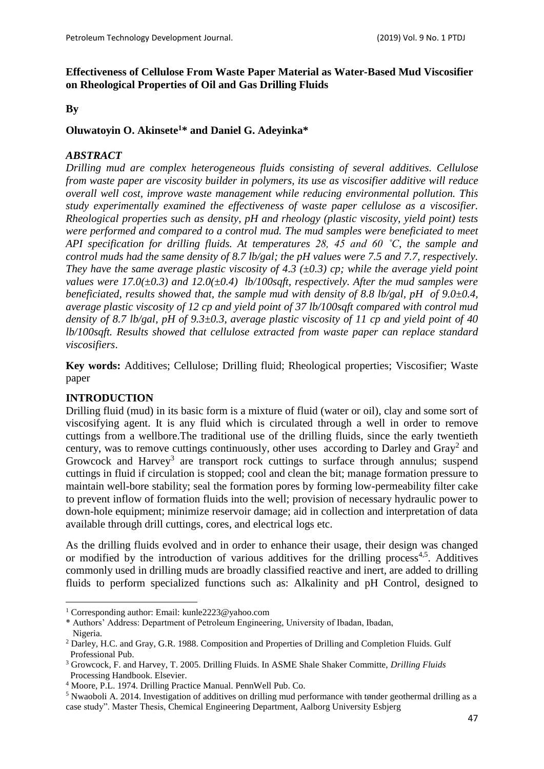## **Effectiveness of Cellulose From Waste Paper Material as Water-Based Mud Viscosifier on Rheological Properties of Oil and Gas Drilling Fluids**

### **By**

## **Oluwatoyin O. Akinsete<sup>1</sup>\* and Daniel G. Adeyinka\***

### *ABSTRACT*

*Drilling mud are complex heterogeneous fluids consisting of several additives. Cellulose from waste paper are viscosity builder in polymers, its use as viscosifier additive will reduce overall well cost, improve waste management while reducing environmental pollution. This study experimentally examined the effectiveness of waste paper cellulose as a viscosifier. Rheological properties such as density, pH and rheology (plastic viscosity, yield point) tests were performed and compared to a control mud. The mud samples were beneficiated to meet API specification for drilling fluids. At temperatures 28, 45 and 60 ˚C, the sample and control muds had the same density of 8.7 lb/gal; the pH values were 7.5 and 7.7, respectively. They have the same average plastic viscosity of 4.3 (±0.3) cp; while the average yield point values were 17.0(±0.3) and 12.0(±0.4) lb/100sqft, respectively. After the mud samples were beneficiated, results showed that, the sample mud with density of 8.8 lb/gal, pH of 9.0±0.4, average plastic viscosity of 12 cp and yield point of 37 lb/100sqft compared with control mud density of 8.7 lb/gal, pH of 9.3±0.3, average plastic viscosity of 11 cp and yield point of 40 lb/100sqft. Results showed that cellulose extracted from waste paper can replace standard viscosifiers*.

**Key words:** Additives; Cellulose; Drilling fluid; Rheological properties; Viscosifier; Waste paper

## **INTRODUCTION**

**.** 

Drilling fluid (mud) in its basic form is a mixture of fluid (water or oil), clay and some sort of viscosifying agent. It is any fluid which is circulated through a well in order to remove cuttings from a wellbore.The traditional use of the drilling fluids, since the early twentieth century, was to remove cuttings continuously, other uses according to Darley and  $\text{Gray}^2$  and Growcock and Harvey<sup>3</sup> are transport rock cuttings to surface through annulus; suspend cuttings in fluid if circulation is stopped; cool and clean the bit; manage formation pressure to maintain well-bore stability; seal the formation pores by forming low-permeability filter cake to prevent inflow of formation fluids into the well; provision of necessary hydraulic power to down-hole equipment; minimize reservoir damage; aid in collection and interpretation of data available through drill cuttings, cores, and electrical logs etc.

As the drilling fluids evolved and in order to enhance their usage, their design was changed or modified by the introduction of various additives for the drilling process<sup>4,5</sup>. Additives commonly used in drilling muds are broadly classified reactive and inert, are added to drilling fluids to perform specialized functions such as: Alkalinity and pH Control, designed to

\* Authors' Address: Department of Petroleum Engineering, University of Ibadan, Ibadan, Nigeria.

<sup>1</sup> Corresponding author: Email: kunle2223@yahoo.com

<sup>&</sup>lt;sup>2</sup> Darley, H.C. and Gray, G.R. 1988. Composition and Properties of Drilling and Completion Fluids. Gulf Professional Pub.

<sup>3</sup> Growcock, F. and Harvey, T. 2005. Drilling Fluids. In ASME Shale Shaker Committe, *Drilling Fluids*  Processing Handbook. Elsevier.

<sup>4</sup> Moore, P.L. 1974. Drilling Practice Manual. PennWell Pub. Co.

<sup>&</sup>lt;sup>5</sup> Nwaoboli A. 2014. Investigation of additives on drilling mud performance with tønder geothermal drilling as a case study". Master Thesis, Chemical Engineering Department, Aalborg University Esbjerg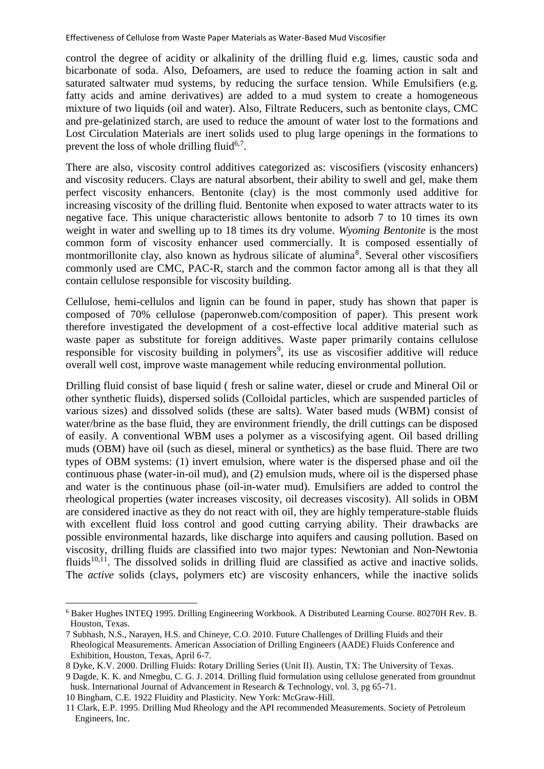control the degree of acidity or alkalinity of the drilling fluid e.g. limes, caustic soda and bicarbonate of soda. Also, Defoamers, are used to reduce the foaming action in salt and saturated saltwater mud systems, by reducing the surface tension. While Emulsifiers (e.g. fatty acids and amine derivatives) are added to a mud system to create a homogeneous mixture of two liquids (oil and water). Also, Filtrate Reducers, such as bentonite clays, CMC and pre-gelatinized starch, are used to reduce the amount of water lost to the formations and Lost Circulation Materials are inert solids used to plug large openings in the formations to prevent the loss of whole drilling fluid<sup>6,7</sup>.

There are also, viscosity control additives categorized as: viscosifiers (viscosity enhancers) and viscosity reducers. Clays are natural absorbent, their ability to swell and gel, make them perfect viscosity enhancers. Bentonite (clay) is the most commonly used additive for increasing viscosity of the drilling fluid. Bentonite when exposed to water attracts water to its negative face. This unique characteristic allows bentonite to adsorb 7 to 10 times its own weight in water and swelling up to 18 times its dry volume. *Wyoming Bentonite* is the most common form of viscosity enhancer used commercially. It is composed essentially of montmorillonite clay, also known as hydrous silicate of alumina<sup>8</sup>. Several other viscosifiers commonly used are CMC, PAC-R, starch and the common factor among all is that they all contain cellulose responsible for viscosity building.

Cellulose, hemi-cellulos and lignin can be found in paper, study has shown that paper is composed of 70% cellulose (paperonweb.com/composition of paper). This present work therefore investigated the development of a cost-effective local additive material such as waste paper as substitute for foreign additives. Waste paper primarily contains cellulose responsible for viscosity building in polymers<sup>9</sup>, its use as viscosifier additive will reduce overall well cost, improve waste management while reducing environmental pollution.

Drilling fluid consist of base liquid ( fresh or saline water, diesel or crude and Mineral Oil or other synthetic fluids), dispersed solids (Colloidal particles, which are suspended particles of various sizes) and dissolved solids (these are salts). Water based muds (WBM) consist of water/brine as the base fluid, they are environment friendly, the drill cuttings can be disposed of easily. A conventional WBM uses a polymer as a viscosifying agent. Oil based drilling muds (OBM) have oil (such as diesel, mineral or synthetics) as the base fluid. There are two types of OBM systems: (1) invert emulsion, where water is the dispersed phase and oil the continuous phase (water-in-oil mud), and (2) emulsion muds, where oil is the dispersed phase and water is the continuous phase (oil-in-water mud). Emulsifiers are added to control the rheological properties (water increases viscosity, oil decreases viscosity). All solids in OBM are considered inactive as they do not react with oil, they are highly temperature-stable fluids with excellent fluid loss control and good cutting carrying ability. Their drawbacks are possible environmental hazards, like discharge into aquifers and causing pollution. Based on viscosity, drilling fluids are classified into two major types: Newtonian and Non-Newtonia fluids<sup>10,11</sup>. The dissolved solids in drilling fluid are classified as active and inactive solids. The *active* solids (clays, polymers etc) are viscosity enhancers, while the inactive solids

9 Dagde, K. K. and Nmegbu, C. G. J. 2014. Drilling fluid formulation using cellulose generated from groundnut husk. International Journal of Advancement in Research & Technology, vol. 3, pg 65-71.

10 Bingham, C.E. 1922 Fluidity and Plasticity. New York: McGraw-Hill.

 $\overline{\phantom{a}}$ 

<sup>6</sup> Baker Hughes INTEQ 1995. Drilling Engineering Workbook. A Distributed Learning Course. 80270H Rev. B. Houston, Texas.

<sup>7</sup> Subhash, N.S., Narayen, H.S. and Chineye, C.O. 2010. Future Challenges of Drilling Fluids and their Rheological Measurements. American Association of Drilling Engineers (AADE) Fluids Conference and Exhibition, Houston, Texas, April 6-7.

<sup>8</sup> Dyke, K.V. 2000. Drilling Fluids: Rotary Drilling Series (Unit II). Austin, TX: The University of Texas.

<sup>11</sup> Clark, E.P. 1995. Drilling Mud Rheology and the API recommended Measurements. Society of Petroleum Engineers, Inc.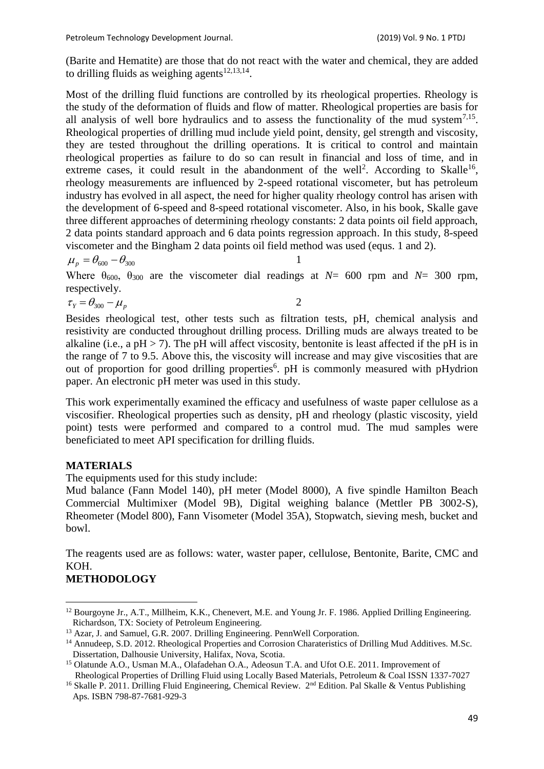(Barite and Hematite) are those that do not react with the water and chemical, they are added to drilling fluids as weighing agents $12,13,14$ .

Most of the drilling fluid functions are controlled by its rheological properties. Rheology is the study of the deformation of fluids and flow of matter. Rheological properties are basis for all analysis of well bore hydraulics and to assess the functionality of the mud system $7.15$ . Rheological properties of drilling mud include yield point, density, gel strength and viscosity, they are tested throughout the drilling operations. It is critical to control and maintain rheological properties as failure to do so can result in financial and loss of time, and in extreme cases, it could result in the abandonment of the well<sup>2</sup>. According to Skalle<sup>16</sup>, rheology measurements are influenced by 2-speed rotational viscometer, but has petroleum industry has evolved in all aspect, the need for higher quality rheology control has arisen with the development of 6-speed and 8-speed rotational viscometer. Also, in his book, Skalle gave three different approaches of determining rheology constants: 2 data points oil field approach, 2 data points standard approach and 6 data points regression approach. In this study, 8-speed viscometer and the Bingham 2 data points oil field method was used (equs. 1 and 2).

$$
\mu_p = \theta_{600} - \theta_{300}
$$

1

Where  $\theta_{600}$ ,  $\theta_{300}$  are the viscometer dial readings at *N*= 600 rpm and *N*= 300 rpm, respectively.

$$
\tau_{Y} = \theta_{300} - \mu_{p} \tag{2}
$$

Besides rheological test, other tests such as filtration tests, pH, chemical analysis and resistivity are conducted throughout drilling process. Drilling muds are always treated to be alkaline (i.e., a pH  $>$  7). The pH will affect viscosity, bentonite is least affected if the pH is in the range of 7 to 9.5. Above this, the viscosity will increase and may give viscosities that are out of proportion for good drilling properties<sup>6</sup>. pH is commonly measured with pHydrion paper. An electronic pH meter was used in this study.

This work experimentally examined the efficacy and usefulness of waste paper cellulose as a viscosifier. Rheological properties such as density, pH and rheology (plastic viscosity, yield point) tests were performed and compared to a control mud. The mud samples were beneficiated to meet API specification for drilling fluids.

## **MATERIALS**

The equipments used for this study include:

Mud balance (Fann Model 140), pH meter (Model 8000), A five spindle Hamilton Beach Commercial Multimixer (Model 9B), Digital weighing balance (Mettler PB 3002-S), Rheometer (Model 800), Fann Visometer (Model 35A), Stopwatch, sieving mesh, bucket and bowl.

The reagents used are as follows: water, waster paper, cellulose, Bentonite, Barite, CMC and KOH.

# **METHODOLOGY**

**.** 

<sup>&</sup>lt;sup>12</sup> Bourgoyne Jr., A.T., Millheim, K.K., Chenevert, M.E. and Young Jr. F. 1986. Applied Drilling Engineering. Richardson, TX: Society of Petroleum Engineering.

<sup>&</sup>lt;sup>13</sup> Azar, J. and Samuel, G.R. 2007. Drilling Engineering. PennWell Corporation.

<sup>&</sup>lt;sup>14</sup> Annudeep, S.D. 2012. Rheological Properties and Corrosion Charateristics of Drilling Mud Additives. M.Sc. Dissertation, Dalhousie University, Halifax, Nova, Scotia.

<sup>&</sup>lt;sup>15</sup> Olatunde A.O., Usman M.A., Olafadehan O.A., Adeosun T.A. and Ufot O.E. 2011. Improvement of Rheological Properties of Drilling Fluid using Locally Based Materials, Petroleum & Coal ISSN 1337-7027

<sup>&</sup>lt;sup>16</sup> Skalle P. 2011. Drilling Fluid Engineering, Chemical Review. 2<sup>nd</sup> Edition. Pal Skalle & Ventus Publishing Aps. ISBN 798-87-7681-929-3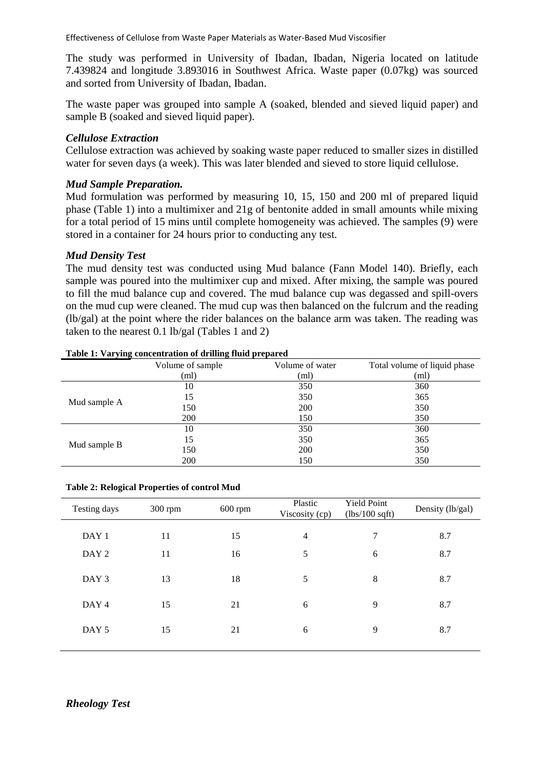Effectiveness of Cellulose from Waste Paper Materials as Water-Based Mud Viscosifier

The study was performed in University of Ibadan, Ibadan, Nigeria located on latitude 7.439824 and longitude 3.893016 in Southwest Africa. Waste paper (0.07kg) was sourced and sorted from University of Ibadan, Ibadan.

The waste paper was grouped into sample A (soaked, blended and sieved liquid paper) and sample B (soaked and sieved liquid paper).

## *Cellulose Extraction*

Cellulose extraction was achieved by soaking waste paper reduced to smaller sizes in distilled water for seven days (a week). This was later blended and sieved to store liquid cellulose.

## *Mud Sample Preparation.*

Mud formulation was performed by measuring 10, 15, 150 and 200 ml of prepared liquid phase (Table 1) into a multimixer and 21g of bentonite added in small amounts while mixing for a total period of 15 mins until complete homogeneity was achieved. The samples (9) were stored in a container for 24 hours prior to conducting any test.

## *Mud Density Test*

The mud density test was conducted using Mud balance (Fann Model 140). Briefly, each sample was poured into the multimixer cup and mixed. After mixing, the sample was poured to fill the mud balance cup and covered. The mud balance cup was degassed and spill-overs on the mud cup were cleaned. The mud cup was then balanced on the fulcrum and the reading (lb/gal) at the point where the rider balances on the balance arm was taken. The reading was taken to the nearest 0.1 lb/gal (Tables 1 and 2)

|              | Volume of sample | Volume of water | Total volume of liquid phase |
|--------------|------------------|-----------------|------------------------------|
|              | (ml)             | (ml)            | (ml)                         |
|              | 10               | 350             | 360                          |
|              | 15               | 350             | 365                          |
| Mud sample A | 150              | 200             | 350                          |
|              | 200              | 150             | 350                          |
|              | 10               | 350             | 360                          |
| Mud sample B | 15               | 350             | 365                          |
|              | 150              | 200             | 350                          |
|              | 200              | 150             | 350                          |

#### **Table 1: Varying concentration of drilling fluid prepared**

| Testing days     | $300$ rpm | $600$ rpm | Plastic<br>Viscosity (cp) | <b>Yield Point</b><br>$(lbs/100\text{ sqft})$ | Density (lb/gal) |
|------------------|-----------|-----------|---------------------------|-----------------------------------------------|------------------|
| DAY <sub>1</sub> | 11        | 15        | $\overline{4}$            | 7                                             | 8.7              |
| DAY <sub>2</sub> | 11        | 16        | 5                         | 6                                             | 8.7              |
| DAY 3            | 13        | 18        | 5                         | 8                                             | 8.7              |
| DAY <sub>4</sub> | 15        | 21        | 6                         | 9                                             | 8.7              |
| DAY <sub>5</sub> | 15        | 21        | 6                         | 9                                             | 8.7              |
|                  |           |           |                           |                                               |                  |

#### **Table 2: Relogical Properties of control Mud**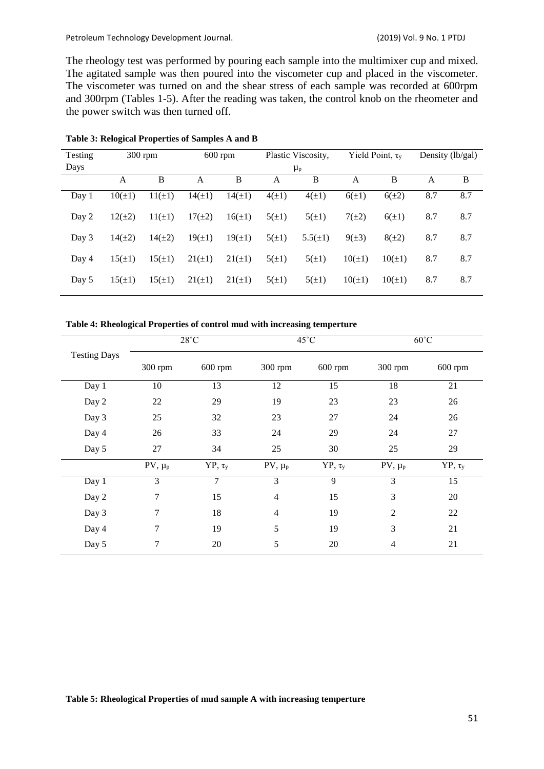The rheology test was performed by pouring each sample into the multimixer cup and mixed. The agitated sample was then poured into the viscometer cup and placed in the viscometer. The viscometer was turned on and the shear stress of each sample was recorded at 600rpm and 300rpm (Tables 1-5). After the reading was taken, the control knob on the rheometer and the power switch was then turned off.

| Testing |             | $300$ rpm   | Plastic Viscosity,<br>$600$ rpm |             |            | Yield Point, $\tau_{v}$ |             | Density $(lb/gal)$ |     |     |
|---------|-------------|-------------|---------------------------------|-------------|------------|-------------------------|-------------|--------------------|-----|-----|
| Days    |             |             | $\mu_{p}$                       |             |            |                         |             |                    |     |     |
|         | A           | B           | А                               | B           | А          | B                       | А           | B                  | A   | B   |
| Day 1   | $10(\pm 1)$ | $11(\pm 1)$ | $14(\pm 1)$                     | $14(\pm 1)$ | $4(\pm 1)$ | $4(\pm 1)$              | $6(\pm 1)$  | $6(\pm 2)$         | 8.7 | 8.7 |
| Day 2   | $12(\pm 2)$ | $11(\pm 1)$ | $17(\pm 2)$                     | $16(\pm 1)$ | $5(\pm 1)$ | $5(\pm 1)$              | $7(\pm 2)$  | $6(\pm 1)$         | 8.7 | 8.7 |
| Day 3   | $14(\pm 2)$ | $14(\pm 2)$ | $19(\pm 1)$                     | $19(\pm 1)$ | $5(\pm 1)$ | $5.5(\pm 1)$            | $9(\pm 3)$  | $8(\pm 2)$         | 8.7 | 8.7 |
| Day 4   | $15(\pm 1)$ | $15(\pm 1)$ | $21(\pm 1)$                     | $21(\pm 1)$ | $5(\pm 1)$ | $5(\pm 1)$              | $10(\pm 1)$ | $10(\pm 1)$        | 8.7 | 8.7 |
| Day 5   | $15(\pm 1)$ | $15(\pm 1)$ | $21(\pm 1)$                     | $21(\pm 1)$ | $5(\pm 1)$ | $5(\pm 1)$              | $10(\pm 1)$ | $10(\pm 1)$        | 8.7 | 8.7 |

#### **Table 3: Relogical Properties of Samples A and B**

## **Table 4: Rheological Properties of control mud with increasing temperture**

|                     | $28^{\circ}$ C |                |                | $45^{\circ}$ C | $60^{\circ}$ C           |              |  |
|---------------------|----------------|----------------|----------------|----------------|--------------------------|--------------|--|
| <b>Testing Days</b> | 300 rpm        | 600 rpm        | 300 rpm        | 600 rpm        | 300 rpm                  | 600 rpm      |  |
| Day 1               | 10             | 13             | 12             | 15             | 18                       | 21           |  |
| Day 2               | 22             | 29             | 19             | 23             | 23                       | 26           |  |
| Day 3               | 25             | 32             | 23             | $27\,$         | 24                       | 26           |  |
| Day 4               | 26             | 33             | 24             | 29             | 24                       | 27           |  |
| Day 5               | 27             | 34             | 25             | 30             | 25                       | 29           |  |
|                     | $PV, \mu_p$    | $YP, \tau_{y}$ | $PV, \mu_p$    | $YP, \tau_{y}$ | $PV, \mu_p$              | $YP, \tau_v$ |  |
| Day 1               | 3              | $\overline{7}$ | 3              | 9              | 3                        | 15           |  |
| Day 2               | 7              | 15             | $\overline{4}$ | 15             | 3                        | 20           |  |
| Day 3               | 7              | 18             | 4              | 19             | $\overline{2}$           | 22           |  |
| Day 4               | 7              | 19             | 5              | 19             | 3                        | 21           |  |
| Day 5               | 7              | 20             | 5              | 20             | $\overline{\mathcal{A}}$ | 21           |  |

**Table 5: Rheological Properties of mud sample A with increasing temperture**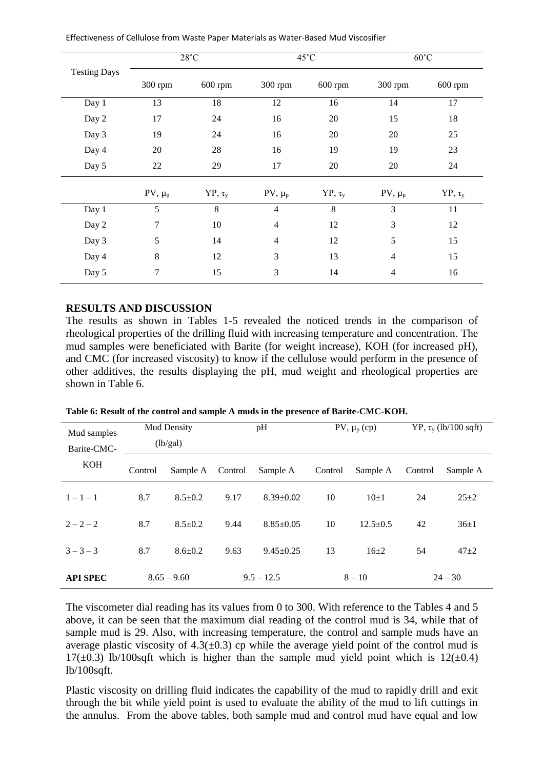|                     |             | $28^{\circ}$ C |                | $45^{\circ}$ C | $60^{\circ}$ C           |              |  |
|---------------------|-------------|----------------|----------------|----------------|--------------------------|--------------|--|
| <b>Testing Days</b> | 300 rpm     | 600 rpm        | 300 rpm        | $600$ rpm      | 300 rpm                  | $600$ rpm    |  |
| Day 1               | 13          | 18             | 12             | 16             | 14                       | 17           |  |
| Day 2               | 17          | 24             | 16             | 20             | 15                       | 18           |  |
| Day 3               | 19          | 24             | 16             | 20             | 20                       | 25           |  |
| Day 4               | 20          | 28             | 16             | 19             | 19                       | 23           |  |
| Day 5               | 22          | 29             | 17             | 20             | 20                       | 24           |  |
|                     | $PV, \mu_p$ | $YP, \tau_{y}$ | $PV, \mu_p$    | $YP, \tau_{y}$ | $PV, \mu_p$              | $YP, \tau_y$ |  |
| Day 1               | 5           | 8              | $\overline{4}$ | 8              | 3                        | 11           |  |
| Day 2               | 7           | 10             | $\overline{4}$ | 12             | 3                        | 12           |  |
| Day 3               | 5           | 14             | $\overline{4}$ | 12             | 5                        | 15           |  |
| Day 4               | $8\,$       | 12             | 3              | 13             | $\overline{4}$           | 15           |  |
| Day 5               | 7           | 15             | 3              | 14             | $\overline{\mathcal{A}}$ | 16           |  |

Effectiveness of Cellulose from Waste Paper Materials as Water-Based Mud Viscosifier

# **RESULTS AND DISCUSSION**

The results as shown in Tables 1-5 revealed the noticed trends in the comparison of rheological properties of the drilling fluid with increasing temperature and concentration. The mud samples were beneficiated with Barite (for weight increase), KOH (for increased pH), and CMC (for increased viscosity) to know if the cellulose would perform in the presence of other additives, the results displaying the pH, mud weight and rheological properties are shown in Table 6.

| Mud samples               | Mud Density   |               | pH           |                 |          | PV, $\mu_p$ (cp) |           | $YP$ , $\tau$ <sub>y</sub> (lb/100 sqft) |  |
|---------------------------|---------------|---------------|--------------|-----------------|----------|------------------|-----------|------------------------------------------|--|
| Barite-CMC-<br><b>KOH</b> | (lb/gal)      |               |              |                 |          |                  |           |                                          |  |
|                           | Control       | Sample A      | Control      | Sample A        | Control  | Sample A         | Control   | Sample A                                 |  |
| $1 - 1 - 1$               | 8.7           | $8.5 \pm 0.2$ | 9.17         | $8.39 \pm 0.02$ | 10       | $10\pm1$         | 24        | $25 + 2$                                 |  |
| $2 - 2 - 2$               | 8.7           | $8.5 + 0.2$   | 9.44         | $8.85 \pm 0.05$ | 10       | $12.5+0.5$       | 42        | $36 \pm 1$                               |  |
| $3 - 3 - 3$               | 8.7           | $8.6 \pm 0.2$ | 9.63         | $9.45 \pm 0.25$ | 13       | $16+2$           | 54        | $47 + 2$                                 |  |
| <b>API SPEC</b>           | $8.65 - 9.60$ |               | $9.5 - 12.5$ |                 | $8 - 10$ |                  | $24 - 30$ |                                          |  |

**Table 6: Result of the control and sample A muds in the presence of Barite-CMC-KOH.**

The viscometer dial reading has its values from 0 to 300. With reference to the Tables 4 and 5 above, it can be seen that the maximum dial reading of the control mud is 34, while that of sample mud is 29. Also, with increasing temperature, the control and sample muds have an average plastic viscosity of  $4.3(\pm 0.3)$  cp while the average yield point of the control mud is 17( $\pm$ 0.3) lb/100sqft which is higher than the sample mud yield point which is 12( $\pm$ 0.4) lb/100sqft.

Plastic viscosity on drilling fluid indicates the capability of the mud to rapidly drill and exit through the bit while yield point is used to evaluate the ability of the mud to lift cuttings in the annulus. From the above tables, both sample mud and control mud have equal and low